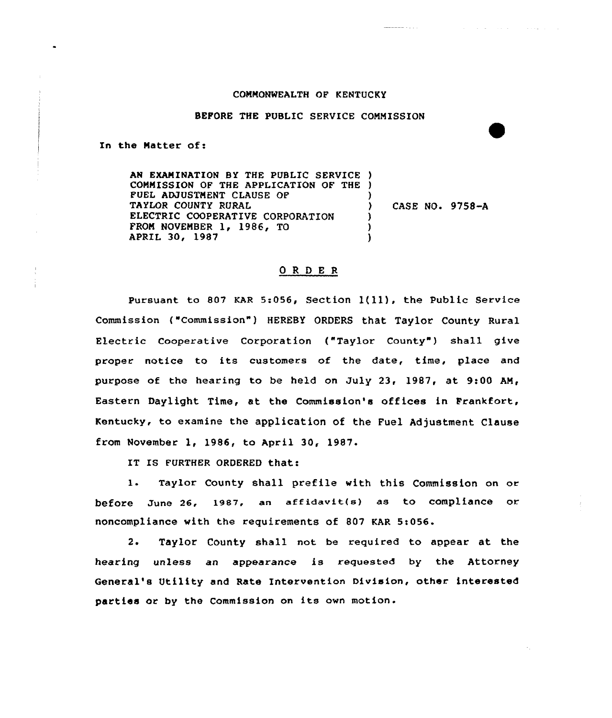## COMMONWEALTH OF KENTUCKY

 $\mathcal{A}$  , and  $\mathcal{A}$  , and  $\mathcal{A}$  , and  $\mathcal{A}$  , and  $\mathcal{A}$  , and  $\mathcal{A}$ 

aaaaa cu siir

## BEFORE THE PUBLIC SERVICE COMMISSION

In the Matter of:

AN EXAMINATION BY THE PUBLIC SERVICE ) COMMISSION OF THE APPLICATION OF THE ) FUEL ADJUSTMENT CLAUSE OF TAYLOR COUNTY RURAL ELECTRIC COOPERATIVE CORPORATION FROM NOVEMBER 1, 1986, TO APRIL 30, 1987 ) ) CASE NO. 9758-A ) ) )

## ORDER

Pursuant to 807 KAR 5:056, Section 1(11), the Public Service Commission ("Commission") HEREBY ORDERS that Taylor County Rural Electric Cooperative Corporation ("Taylor County") shall give proper notice to its customers of the date, time, place and purpose of the hearing to be held on July 23, 1987, at 9:00 AM, Eastern Daylight Time, at the Commission's offices in Frankfort, Kentucky, to examine the application of the Fuel Adjustment Clause from November 1, 1986, to April 30, 1987.

IT IS FURTHER ORDERED that:

1. Taylor County shall prefile with this Commission on or before June 26, 1987, an affidavit(s) as to compliance or noncompliance with the requirements of 807 KAR 5i056.

2. Taylor County shall not be required to appear at the hearing unless an appearance is requested by the Attorney General's Utility and Rate Intervention Division, other interested parties or by the Commission on its own motion.